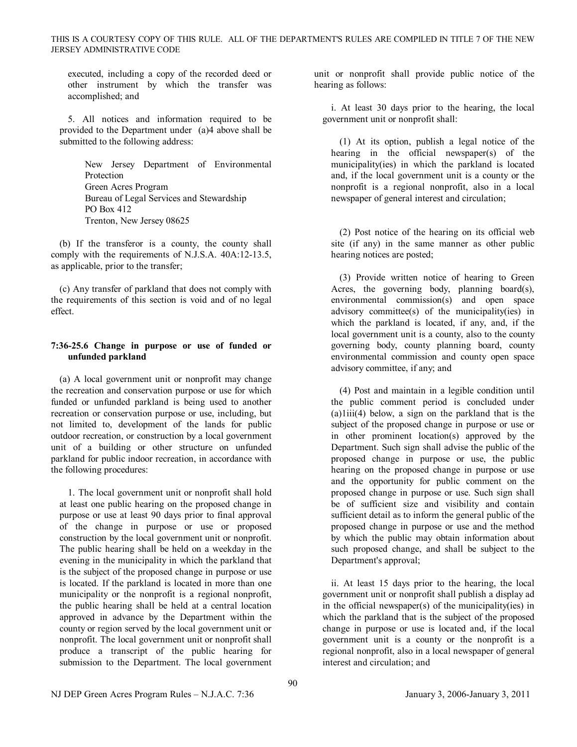executed, including a copy of the recorded deed or other instrument by which the transfer was accomplished; and

5. All notices and information required to be provided to the Department under (a)4 above shall be submitted to the following address:

> New Jersey Department of Environmental Protection Green Acres Program Bureau of Legal Services and Stewardship PO Box 412 Trenton, New Jersey 08625

(b) If the transferor is a county, the county shall comply with the requirements of N.J.S.A.  $40A:12-13.5$ , as applicable, prior to the transfer;

(c) Any transfer of parkland that does not comply with the requirements of this section is void and of no legal effect.

## **7:3625.6 Change in purpose or use of funded or unfunded parkland**

(a) A local government unit or nonprofit may change the recreation and conservation purpose or use for which funded or unfunded parkland is being used to another recreation or conservation purpose or use, including, but not limited to, development of the lands for public outdoor recreation, or construction by a local government unit of a building or other structure on unfunded parkland for public indoor recreation, in accordance with the following procedures:

1. The local government unit or nonprofit shall hold at least one public hearing on the proposed change in purpose or use at least 90 days prior to final approval of the change in purpose or use or proposed construction by the local government unit or nonprofit. The public hearing shall be held on a weekday in the evening in the municipality in which the parkland that is the subject of the proposed change in purpose or use is located. If the parkland is located in more than one municipality or the nonprofit is a regional nonprofit, the public hearing shall be held at a central location approved in advance by the Department within the county or region served by the local government unit or nonprofit. The local government unit or nonprofit shall produce a transcript of the public hearing for submission to the Department. The local government

unit or nonprofit shall provide public notice of the hearing as follows:

i. At least 30 days prior to the hearing, the local government unit or nonprofit shall:

(1) At its option, publish a legal notice of the hearing in the official newspaper(s) of the municipality(ies) in which the parkland is located and, if the local government unit is a county or the nonprofit is a regional nonprofit, also in a local newspaper of general interest and circulation;

(2) Post notice of the hearing on its official web site (if any) in the same manner as other public hearing notices are posted;

(3) Provide written notice of hearing to Green Acres, the governing body, planning board(s), environmental commission(s) and open space advisory committee(s) of the municipality(ies) in which the parkland is located, if any, and, if the local government unit is a county, also to the county governing body, county planning board, county environmental commission and county open space advisory committee, if any; and

(4) Post and maintain in a legible condition until the public comment period is concluded under (a)1iii(4) below, a sign on the parkland that is the subject of the proposed change in purpose or use or in other prominent location(s) approved by the Department. Such sign shall advise the public of the proposed change in purpose or use, the public hearing on the proposed change in purpose or use and the opportunity for public comment on the proposed change in purpose or use. Such sign shall be of sufficient size and visibility and contain sufficient detail as to inform the general public of the proposed change in purpose or use and the method by which the public may obtain information about such proposed change, and shall be subject to the Department's approval;

ii. At least 15 days prior to the hearing, the local government unit or nonprofit shall publish a display ad in the official newspaper(s) of the municipality(ies) in which the parkland that is the subject of the proposed change in purpose or use is located and, if the local government unit is a county or the nonprofit is a regional nonprofit, also in a local newspaper of general interest and circulation; and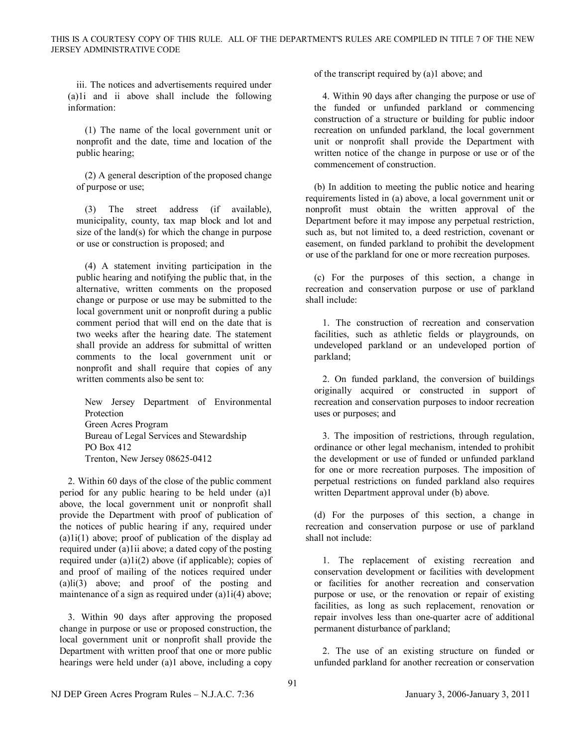iii. The notices and advertisements required under (a)1i and ii above shall include the following information:

(1) The name of the local government unit or nonprofit and the date, time and location of the public hearing;

(2) A general description of the proposed change of purpose or use;

(3) The street address (if available), municipality, county, tax map block and lot and size of the land(s) for which the change in purpose or use or construction is proposed; and

(4) A statement inviting participation in the public hearing and notifying the public that, in the alternative, written comments on the proposed change or purpose or use may be submitted to the local government unit or nonprofit during a public comment period that will end on the date that is two weeks after the hearing date. The statement shall provide an address for submittal of written comments to the local government unit or nonprofit and shall require that copies of any written comments also be sent to:

New Jersey Department of Environmental Protection Green Acres Program Bureau of Legal Services and Stewardship PO Box 412 Trenton, New Jersey 08625-0412

2. Within 60 days of the close of the public comment period for any public hearing to be held under (a)1 above, the local government unit or nonprofit shall provide the Department with proof of publication of the notices of public hearing if any, required under (a)1i(1) above; proof of publication of the display ad required under (a)1ii above; a dated copy of the posting required under (a)1i(2) above (if applicable); copies of and proof of mailing of the notices required under (a)li(3) above; and proof of the posting and maintenance of a sign as required under (a)1i(4) above;

3. Within 90 days after approving the proposed change in purpose or use or proposed construction, the local government unit or nonprofit shall provide the Department with written proof that one or more public hearings were held under (a)1 above, including a copy of the transcript required by (a)1 above; and

4. Within 90 days after changing the purpose or use of the funded or unfunded parkland or commencing construction of a structure or building for public indoor recreation on unfunded parkland, the local government unit or nonprofit shall provide the Department with written notice of the change in purpose or use or of the commencement of construction.

(b) In addition to meeting the public notice and hearing requirements listed in (a) above, a local government unit or nonprofit must obtain the written approval of the Department before it may impose any perpetual restriction, such as, but not limited to, a deed restriction, covenant or easement, on funded parkland to prohibit the development or use of the parkland for one or more recreation purposes.

(c) For the purposes of this section, a change in recreation and conservation purpose or use of parkland shall include:

1. The construction of recreation and conservation facilities, such as athletic fields or playgrounds, on undeveloped parkland or an undeveloped portion of parkland;

2. On funded parkland, the conversion of buildings originally acquired or constructed in support of recreation and conservation purposes to indoor recreation uses or purposes; and

3. The imposition of restrictions, through regulation, ordinance or other legal mechanism, intended to prohibit the development or use of funded or unfunded parkland for one or more recreation purposes. The imposition of perpetual restrictions on funded parkland also requires written Department approval under (b) above.

(d) For the purposes of this section, a change in recreation and conservation purpose or use of parkland shall not include:

1. The replacement of existing recreation and conservation development or facilities with development or facilities for another recreation and conservation purpose or use, or the renovation or repair of existing facilities, as long as such replacement, renovation or repair involves less than one-quarter acre of additional permanent disturbance of parkland;

2. The use of an existing structure on funded or unfunded parkland for another recreation or conservation